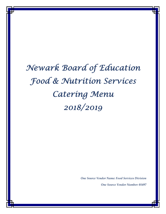# *Newark Board of Education Food & Nutrition Services Catering Menu 2018/2019*

*One Source Vendor Name: Food Services Division One Source Vendor Number: 01497*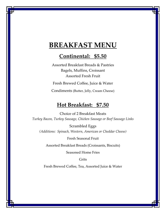## **BREAKFAST MENU**

### **Continental: \$5.50**

Assorted Breakfast Breads & Pastries Bagels, Muffins, Croissant Assorted Fresh Fruit

Fresh Brewed Coffee, Juice & Water

Condiments (Butter, Jelly, Cream Cheese)

### **Hot Breakfast: \$7.50**

Choice of 2 Breakfast Meats *Turkey Bacon, Turkey Sausage, Chicken Sausage or Beef Sausage Links* 

Scrambled Eggs *(Additions: Spinach, Western, American or Cheddar Cheese)*

Fresh Seasonal Fruit

Assorted Breakfast Breads (Croissants, Biscuits)

Seasoned Home Fries

Grits

Fresh Brewed Coffee, Tea, Assorted Juice & Water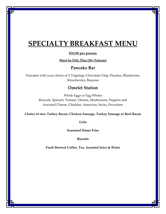# **SPECIALTY BREAKFAST MENU**

#### **\$10.00 per person**

**Must be Fifty Plus (50+ Patrons)**

#### **Pancake Bar**

Pancakes with your choice of 2 Toppings: Chocolate Chip, Peaches, Blueberries, Strawberries, Bananas

#### **Omelet Station**

Whole Eggs or Egg Whites Broccoli, Spinach, Tomato, Onions, Mushrooms, Peppers and Assorted Cheese, Cheddar, American, Swiss, Provolone

**Choice of two: Turkey Bacon, Chicken Sausage, Turkey Sausage or Beef Bacon**

**Grits**

**Seasoned Home Fries**

**Biscuits**

**Fresh Brewed Coffee, Tea, Assorted Juice & Water**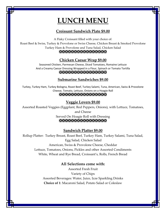# **LUNCH MENU**

#### **Croissant Sandwich Plate \$9.00**

A Flaky Croissant filled with your choice of:

Roast Beef & Swiss, Turkey & Provolone or Swiss Cheese, Chicken Breast & Smoked Provolone

Turkey Ham & Provolone and Tuna Salad, Chicken Salad

#### 

#### **Chicken Caesar Wrap \$9.00**

Seasoned Chicken, Parmesan Cheese, Diced Tomatoes, Romaine Lettuce And a Creamy Caesar Dressing Wrapped in a Flour, Spinach or Tomato Tortilla 

#### **Submarine Sandwiches \$9.00**

Turkey, Turkey Ham, Turkey Bologna, Roast Beef, Turkey Salami, Tuna, American, Swiss & Provolone Cheese, Tomato, Lettuce, Onions on a Hoagie Roll XXXXXXXXXXXXXXXXXX

#### **Veggie Lovers \$9.00**

Assorted Roasted Veggies (Eggplant, Red Peppers, Onions), with Lettuce, Tomatoes,

and Cheese Served On Hoagie Roll with Dressing XXXXXXXXXXXXXXXXXX

#### **Sandwich Platter \$9.00**

Rollup Platter: Turkey Breast, Roast Beef, Turkey Ham, Turkey Salami, Tuna Salad, Egg Salad, Chicken Salad American, Swiss & Provolone Cheese, Cheddar Lettuce, Tomatoes, Onions, Pickles and other Assorted Condiments White, Wheat and Rye Bread, Croissant's, Rolls, French Bread

#### **All Selections come with:**

Assorted Fresh Fruit Variety of Chips Assorted Beverages: Water, Juice, Izze Sparkling Drinks **Choice of 1**: Macaroni Salad, Potato Salad or Coleslaw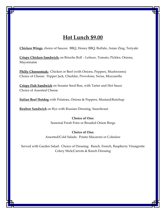### **Hot Lunch \$9.00**

**Chicken Wings**: choice of Sauces: BBQ, Honey BBQ, Buffalo, Asian Zing, Teriyaki

**Crispy Chicken Sandwich:** on Brioche Roll – Lettuce, Tomato, Pickles, Onions, Mayonnaise

**Philly Cheesesteak:** Chicken or Beef (with Onions, Peppers, Mushrooms) Choice of Cheese: Pepper Jack, Cheddar, Provolone, Swiss, Mozzarella

**Crispy Fish Sandwich** on Sesame Seed Bun, with Tarter and Hot Sauce Choice of Assorted Cheese

**Italian Beef Hotdog** with Potatoes, Onions & Peppers, Mustard/Ketchup

**Reuben Sandwich** on Rye with Russian Dressing, Sauerkraut

**Choice of One:** Seasonal Fresh Fries or Breaded Onion Rings

**Choice of One:**  Assorted/Cold Salads: Potato Macaroni or Coleslaw

Served with Garden Salad: Choice of Dressing: Ranch, French, Raspberry Vinaigrette Celery Stick/Carrots & Ranch Dressing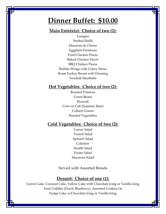# **Dinner Buffet: \$10.00**

### **Main Entrée(s): Choice of two (2):**

Lasagna Stuffed Shells Macaroni & Cheese Eggplant Parmesan Fried Chicken Pieces Baked Chicken Pieces BBQ Chicken Pieces Buffalo Wings with Celery Sticks Roast Turkey Breast with Dressing Swedish Meatballs

#### **Hot Vegetables: Choice of two (2):**

Roasted Potatoes Green Beans Broccoli Corn on Cob (Summer Item) Collard Greens Roasted Vegetables

#### **Cold Vegetables: Choice of two (2):**

Caesar Salad Tossed Salad Spinach Salad Coleslaw Health Salad Potato Salad Macaroni Salad

Served with Assorted Breads

#### **Dessert: Choice of one (1):**

Carrot Cake, Coconut Cake, Yellow Cake with Chocolate Icing or Vanilla Icing Fruit Cobbler (Peach, Blueberry), Assorted Cookies Or Fudge Cake w/Chocolate Icing or Vanilla Icing